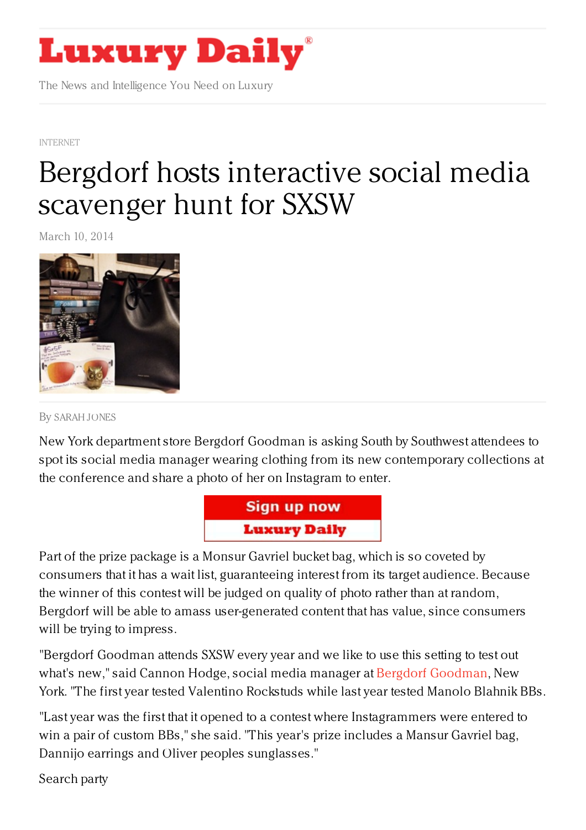

The News and Intelligence You Need on Luxury

[INTERNET](https://www.luxurydaily.com/category/news/internet-news/)

## Bergdorf hosts [interactive](https://www.luxurydaily.com/bergdorf-hosts-interactive-social-media-scavenger-hunt-for-sxsw/) social media scavenger hunt for SXSW

March 10, 2014



By [SARAH](/author/sarah-jones) JONES

New York department store Bergdorf Goodman is asking South by Southwest attendees to spot its social media manager wearing clothing from its new contemporary collections at the conference and share a photo of her on Instagram to enter.



Part of the prize package is a Monsur Gavriel bucket bag, which is so coveted by consumers that it has a wait list, guaranteeing interest from its target audience. Because the winner of this contest will be judged on quality of photo rather than at random, Bergdorf will be able to amass user-generated content that has value, since consumers will be trying to impress.

"Bergdorf Goodman attends SXSW every year and we like to use this setting to test out what's new," said Cannon Hodge, social media manager at Bergdorf [Goodman](http://bergdorfs.com/), New York. "The first year tested Valentino Rockstuds while last year tested Manolo Blahnik BBs.

"Last year was the first that it opened to a contest where Instagrammers were entered to win a pair of custom BBs," she said. "This year's prize includes a Mansur Gavriel bag, Dannijo earrings and Oliver peoples sunglasses."

Search party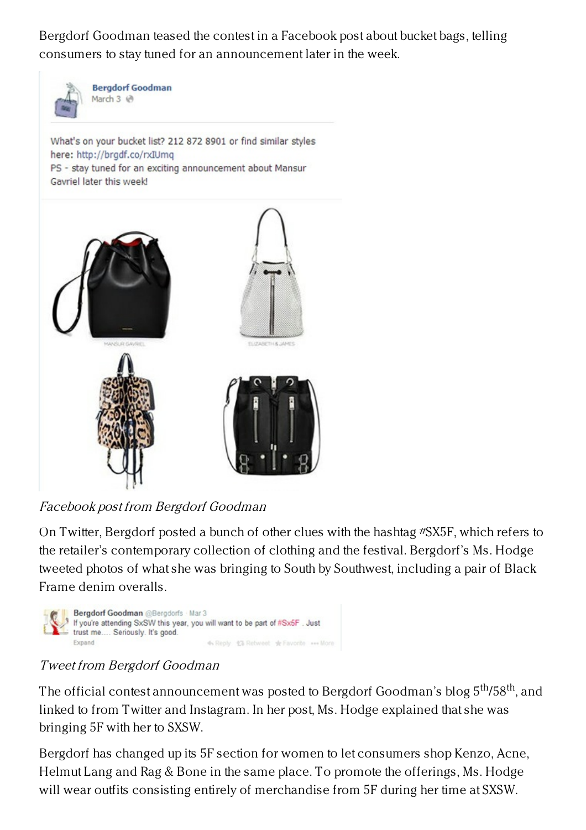Bergdorf Goodman teased the contest in a Facebook post about bucket bags, telling consumers to stay tuned for an announcement later in the week.



**Bergdorf Goodman** March 3 @

What's on your bucket list? 212 872 8901 or find similar styles here: http://brgdf.co/rxIUmq PS - stay tuned for an exciting announcement about Mansur Gavriel later this week!



Facebook post from Bergdorf Goodman

On Twitter, Bergdorf posted a bunch of other clues with the hashtag #SX5F, which refers to the retailer's contemporary collection of clothing and the festival. Bergdorf's Ms. Hodge tweeted photos of what she was bringing to South by Southwest, including a pair of Black Frame denim overalls.



## Tweet from Bergdorf Goodman

The official contest announcement was posted to Bergdorf Goodman's blog  $5^\mathrm{th}$ /58 $^\mathrm{th}$ , and linked to from Twitter and Instagram. In her post, Ms. Hodge explained that she was bringing 5F with her to SXSW.

Bergdorf has changed up its 5F section for women to let consumers shop Kenzo, Acne, Helmut Lang and Rag & Bone in the same place. To promote the offerings, Ms. Hodge will wear outfits consisting entirely of merchandise from 5F during her time at SXSW.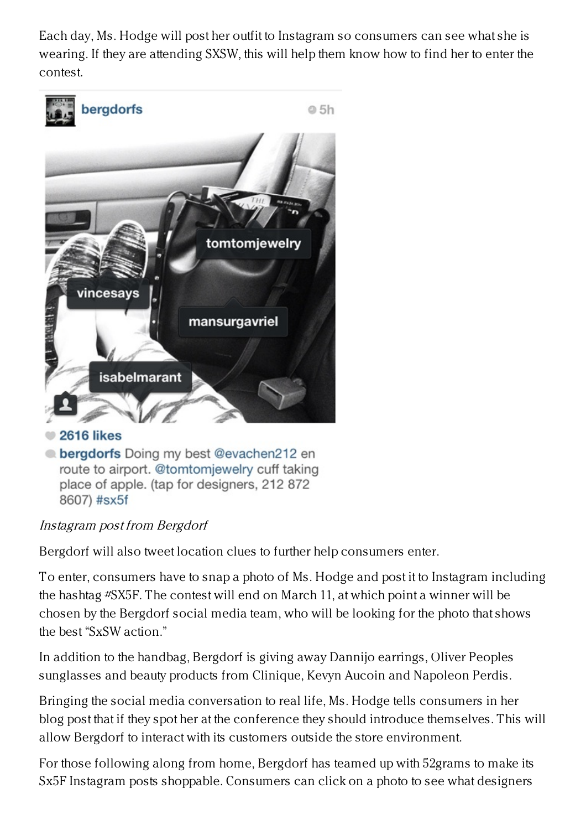Each day, Ms. Hodge will post her outfit to Instagram so consumers can see what she is wearing. If they are attending SXSW, this will help them know how to find her to enter the contest.



**Lergdorfs** Doing my best @evachen212 en route to airport. @tomtomiewelry cuff taking place of apple. (tap for designers, 212 872 8607) #sx5f

## Instagram post from Bergdorf

Bergdorf will also tweet location clues to further help consumers enter.

To enter, consumers have to snap a photo of Ms. Hodge and post it to Instagram including the hashtag #SX5F. The contest will end on March 11, at which point a winner will be chosen by the Bergdorf social media team, who will be looking for the photo that shows the best "SxSW action."

In addition to the handbag, Bergdorf is giving away Dannijo earrings, Oliver Peoples sunglasses and beauty products from Clinique, Kevyn Aucoin and Napoleon Perdis.

Bringing the social media conversation to real life, Ms. Hodge tells consumers in her blog post that if they spot her at the conference they should introduce themselves. This will allow Bergdorf to interact with its customers outside the store environment.

For those following along from home, Bergdorf has teamed up with 52grams to make its Sx5F Instagram posts shoppable. Consumers can click on a photo to see what designers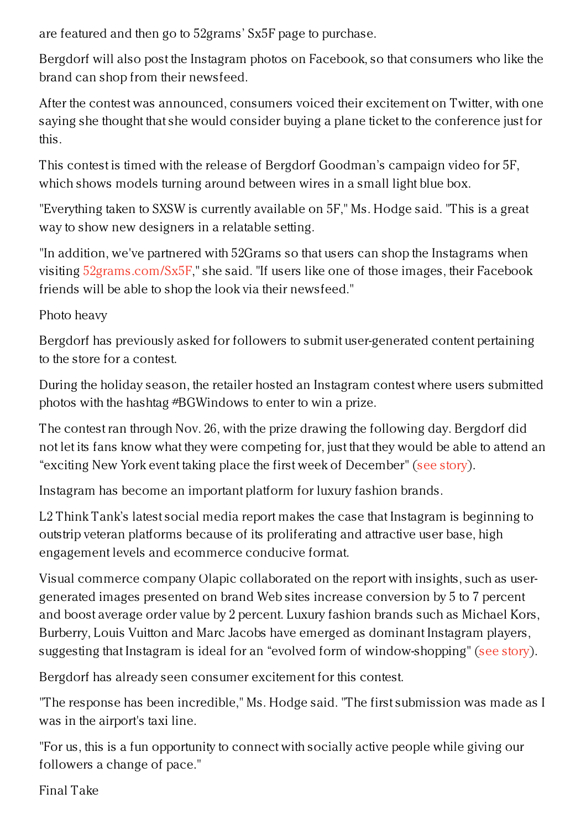are featured and then go to 52grams' Sx5F page to purchase.

Bergdorf will also post the Instagram photos on Facebook, so that consumers who like the brand can shop from their newsfeed.

After the contest was announced, consumers voiced their excitement on Twitter, with one saying she thought that she would consider buying a plane ticket to the conference just for this.

This contest is timed with the release of Bergdorf Goodman's campaign video for 5F, which shows models turning around between wires in a small light blue box.

"Everything taken to SXSW is currently available on 5F," Ms. Hodge said. "This is a great way to show new designers in a relatable setting.

"In addition, we've partnered with 52Grams so that users can shop the Instagrams when visiting [52grams.com/Sx5F](http://52grams.com/Sx5F)," she said. "If users like one of those images, their Facebook friends will be able to shop the look via their newsfeed."

Photo heavy

Bergdorf has previously asked for followers to submit user-generated content pertaining to the store for a contest.

During the holiday season, the retailer hosted an Instagram contest where users submitted photos with the hashtag #BGWindows to enter to win a prize.

The contest ran through Nov. 26, with the prize drawing the following day. Bergdorf did not let its fans know what they were competing for, just that they would be able to attend an "exciting New York event taking place the first week of December" (see [story](https://www.luxurydaily.com/barneys-and-bergdorf-goodman-engage-fans-with-instagram-for-holiday-window-reveals/)).

Instagram has become an important platform for luxury fashion brands.

L2 Think Tank's latest social media report makes the case that Instagram is beginning to outstrip veteran platforms because of its proliferating and attractive user base, high engagement levels and ecommerce conducive format.

Visual commerce company Olapic collaborated on the report with insights, such as usergenerated images presented on brand Web sites increase conversion by 5 to 7 percent and boost average order value by 2 percent. Luxury fashion brands such as Michael Kors, Burberry, Louis Vuitton and Marc Jacobs have emerged as dominant Instagram players, suggesting that Instagram is ideal for an "evolved form of window-shopping" (see [story](https://www.luxurydaily.com/instagram-registers-15x-more-engagement-than-facebook-l2/)).

Bergdorf has already seen consumer excitement for this contest.

"The response has been incredible," Ms. Hodge said. "The first submission was made as I was in the airport's taxi line.

"For us, this is a fun opportunity to connect with socially active people while giving our followers a change of pace."

Final Take